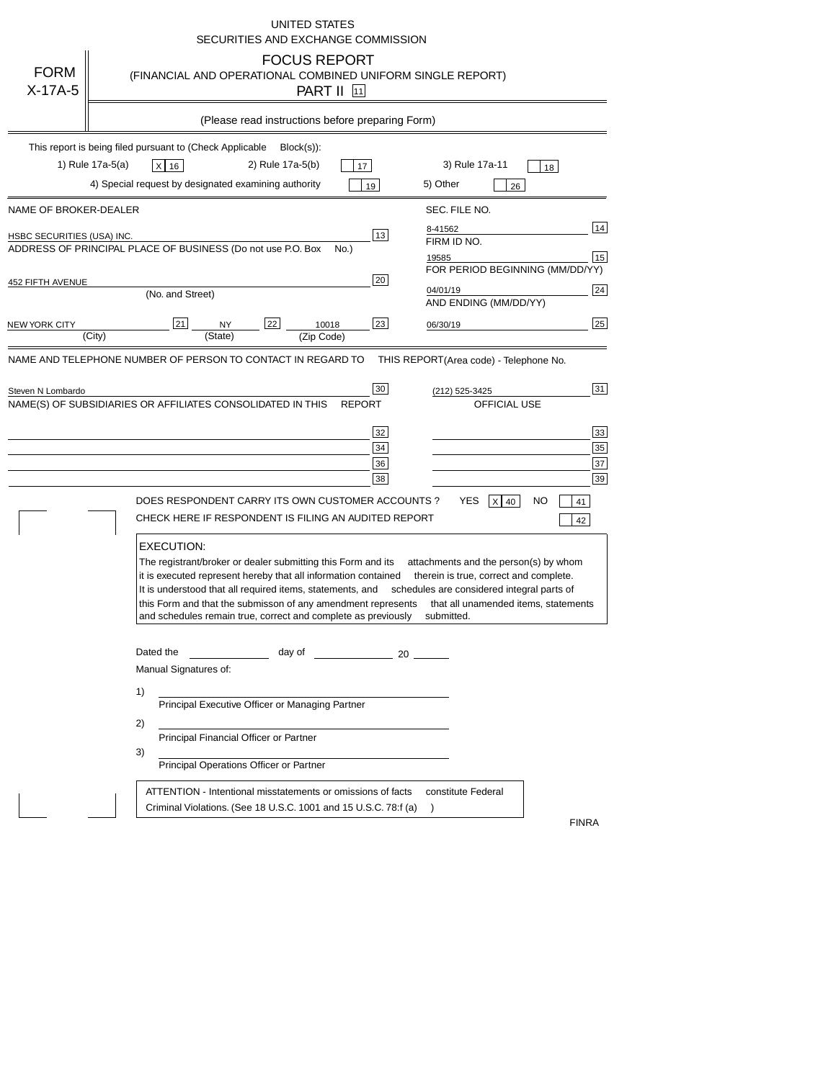|                                                     | <b>UNITED STATES</b><br>SECURITIES AND EXCHANGE COMMISSION                                                                                                                                                                                                                                                                                                                                                                                                                                                                                     |
|-----------------------------------------------------|------------------------------------------------------------------------------------------------------------------------------------------------------------------------------------------------------------------------------------------------------------------------------------------------------------------------------------------------------------------------------------------------------------------------------------------------------------------------------------------------------------------------------------------------|
| <b>FORM</b><br>$X-17A-5$                            | <b>FOCUS REPORT</b><br>(FINANCIAL AND OPERATIONAL COMBINED UNIFORM SINGLE REPORT)<br>PART II [11]                                                                                                                                                                                                                                                                                                                                                                                                                                              |
|                                                     | (Please read instructions before preparing Form)                                                                                                                                                                                                                                                                                                                                                                                                                                                                                               |
|                                                     | This report is being filed pursuant to (Check Applicable<br>$Block(s)$ :<br>1) Rule 17a-5(a)<br>2) Rule 17a-5(b)<br>3) Rule 17a-11<br>$x$ 16<br>17<br>18<br>4) Special request by designated examining authority<br>5) Other<br>19<br>26                                                                                                                                                                                                                                                                                                       |
| NAME OF BROKER-DEALER<br>HSBC SECURITIES (USA) INC. | SEC. FILE NO.<br>14<br>8-41562<br>13<br>FIRM ID NO.<br>ADDRESS OF PRINCIPAL PLACE OF BUSINESS (Do not use P.O. Box<br>No.)<br>15<br>19585<br>FOR PERIOD BEGINNING (MM/DD/YY)                                                                                                                                                                                                                                                                                                                                                                   |
| 452 FIFTH AVENUE<br>NEW YORK CITY                   | 20<br>24<br>04/01/19<br>(No. and Street)<br>AND ENDING (MM/DD/YY)<br>25<br>21<br>22<br>23<br>10018<br><b>NY</b><br>06/30/19<br>(City)<br>(State)<br>(Zip Code)                                                                                                                                                                                                                                                                                                                                                                                 |
| Steven N Lombardo                                   | 31<br>30<br>(212) 525-3425<br>NAME(S) OF SUBSIDIARIES OR AFFILIATES CONSOLIDATED IN THIS<br>OFFICIAL USE<br><b>REPORT</b><br>33<br>32<br>35<br>34<br>37<br>36<br>39<br>38<br>DOES RESPONDENT CARRY ITS OWN CUSTOMER ACCOUNTS ?<br>YES<br>$X$ 40<br>NO<br>41<br>CHECK HERE IF RESPONDENT IS FILING AN AUDITED REPORT                                                                                                                                                                                                                            |
|                                                     | 42<br><b>EXECUTION:</b><br>The registrant/broker or dealer submitting this Form and its<br>attachments and the person(s) by whom<br>it is executed represent hereby that all information contained<br>therein is true, correct and complete.<br>It is understood that all required items, statements, and<br>schedules are considered integral parts of<br>this Form and that the submisson of any amendment represents<br>that all unamended items, statements<br>and schedules remain true, correct and complete as previously<br>submitted. |
|                                                     | Dated the<br>day of<br>$\sim$ 20<br>Manual Signatures of:<br>1)<br>Principal Executive Officer or Managing Partner<br>2)<br>Principal Financial Officer or Partner<br>3)<br>Principal Operations Officer or Partner<br>ATTENTION - Intentional misstatements or omissions of facts<br>constitute Federal                                                                                                                                                                                                                                       |
|                                                     | Criminal Violations. (See 18 U.S.C. 1001 and 15 U.S.C. 78:f (a)<br><b>FINRA</b>                                                                                                                                                                                                                                                                                                                                                                                                                                                                |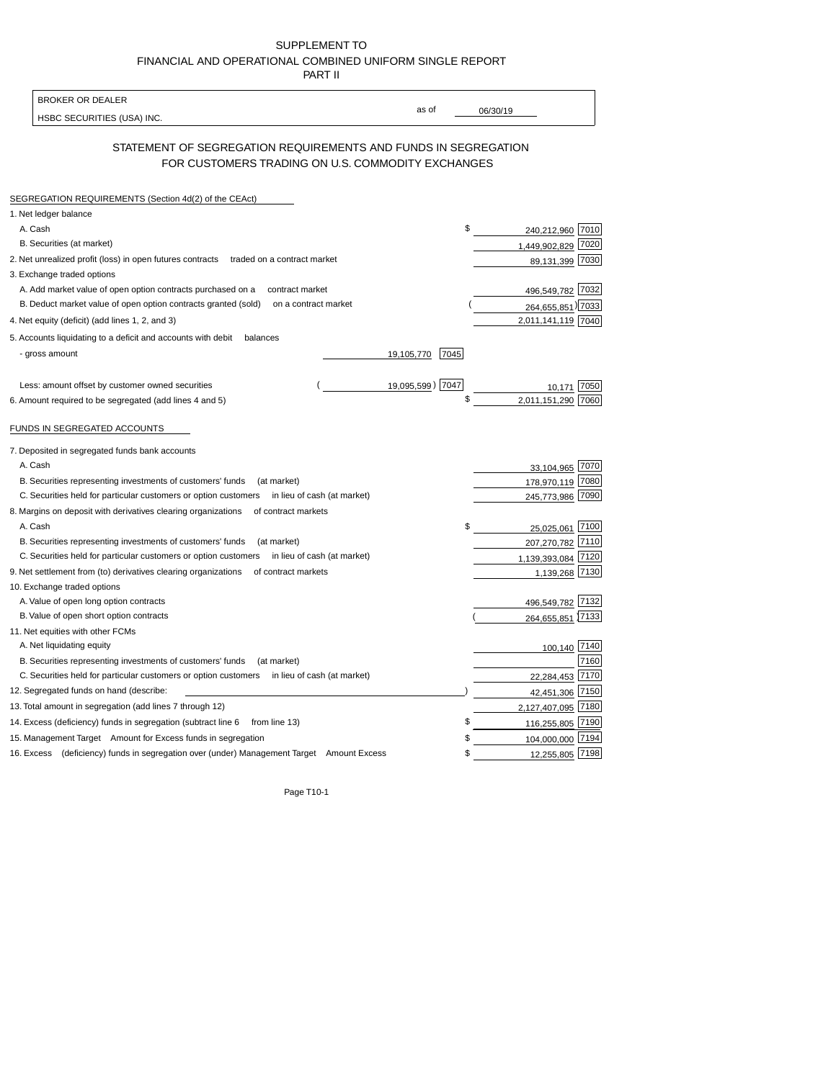| SUPPLEMENT TO                                            |
|----------------------------------------------------------|
| FINANCIAL AND OPERATIONAL COMBINED UNIFORM SINGLE REPORT |
| <b>PART II</b>                                           |

| <b>BROKER OR DEALER</b>                                                                                             |                  |                                                                                                    |
|---------------------------------------------------------------------------------------------------------------------|------------------|----------------------------------------------------------------------------------------------------|
| HSBC SECURITIES (USA) INC.                                                                                          | as of            | 06/30/19                                                                                           |
|                                                                                                                     |                  |                                                                                                    |
| STATEMENT OF SEGREGATION REQUIREMENTS AND FUNDS IN SEGREGATION<br>FOR CUSTOMERS TRADING ON U.S. COMMODITY EXCHANGES |                  |                                                                                                    |
| SEGREGATION REQUIREMENTS (Section 4d(2) of the CEAct)                                                               |                  |                                                                                                    |
| 1. Net ledger balance                                                                                               |                  |                                                                                                    |
| A. Cash                                                                                                             | \$               | 240,212,960 7010                                                                                   |
| B. Securities (at market)                                                                                           |                  | 7020<br>1,449,902,829                                                                              |
| 2. Net unrealized profit (loss) in open futures contracts<br>traded on a contract market                            |                  | 89,131,399 7030                                                                                    |
| 3. Exchange traded options                                                                                          |                  |                                                                                                    |
| A. Add market value of open option contracts purchased on a<br>contract market                                      |                  | 496,549,782 7032                                                                                   |
| B. Deduct market value of open option contracts granted (sold)<br>on a contract market                              |                  | 264,655,851) 7033                                                                                  |
| 4. Net equity (deficit) (add lines 1, 2, and 3)                                                                     |                  | 2,011,141,119 7040                                                                                 |
| 5. Accounts liquidating to a deficit and accounts with debit<br>balances                                            |                  |                                                                                                    |
| - gross amount<br>19,105,770                                                                                        | 7045             |                                                                                                    |
|                                                                                                                     |                  |                                                                                                    |
| Less: amount offset by customer owned securities                                                                    | 19,095,599) 7047 | 7050<br>10,171                                                                                     |
| 6. Amount required to be segregated (add lines 4 and 5)                                                             | \$               | 2,011,151,290<br>7060                                                                              |
| FUNDS IN SEGREGATED ACCOUNTS                                                                                        |                  |                                                                                                    |
| 7. Deposited in segregated funds bank accounts                                                                      |                  |                                                                                                    |
| A. Cash                                                                                                             |                  | 33,104,965 7070                                                                                    |
| B. Securities representing investments of customers' funds<br>(at market)                                           |                  | 7080<br>178,970,119                                                                                |
| C. Securities held for particular customers or option customers<br>in lieu of cash (at market)                      |                  | 7090<br>245.773.986                                                                                |
| 8. Margins on deposit with derivatives clearing organizations<br>of contract markets                                |                  |                                                                                                    |
| A. Cash                                                                                                             |                  | 7100<br>25,025,061                                                                                 |
| B. Securities representing investments of customers' funds<br>(at market)                                           |                  | 207,270,782<br>7110                                                                                |
| C. Securities held for particular customers or option customers<br>in lieu of cash (at market)                      |                  | 1,139,393,084 7120                                                                                 |
| 9. Net settlement from (to) derivatives clearing organizations<br>of contract markets                               |                  | 1,139,268 7130                                                                                     |
| 10. Exchange traded options                                                                                         |                  |                                                                                                    |
| A. Value of open long option contracts                                                                              |                  | 496,549,782 7132                                                                                   |
| B. Value of open short option contracts                                                                             |                  |                                                                                                    |
|                                                                                                                     |                  |                                                                                                    |
| 11. Net equities with other FCMs                                                                                    |                  |                                                                                                    |
| A. Net liquidating equity                                                                                           |                  | 264,655,851 7133                                                                                   |
| B. Securities representing investments of customers' funds<br>(at market)                                           |                  |                                                                                                    |
| C. Securities held for particular customers or option customers<br>in lieu of cash (at market)                      |                  | 22,284,453                                                                                         |
| 12. Segregated funds on hand (describe:                                                                             |                  | 42,451,306                                                                                         |
| 13. Total amount in segregation (add lines 7 through 12)                                                            |                  |                                                                                                    |
| 14. Excess (deficiency) funds in segregation (subtract line 6<br>from line 13)                                      | \$               |                                                                                                    |
| 15. Management Target Amount for Excess funds in segregation                                                        |                  | 100,140 7140<br>7160<br>7170<br>7150<br>2,127,407,095 7180<br>116,255,805 7190<br>104,000,000 7194 |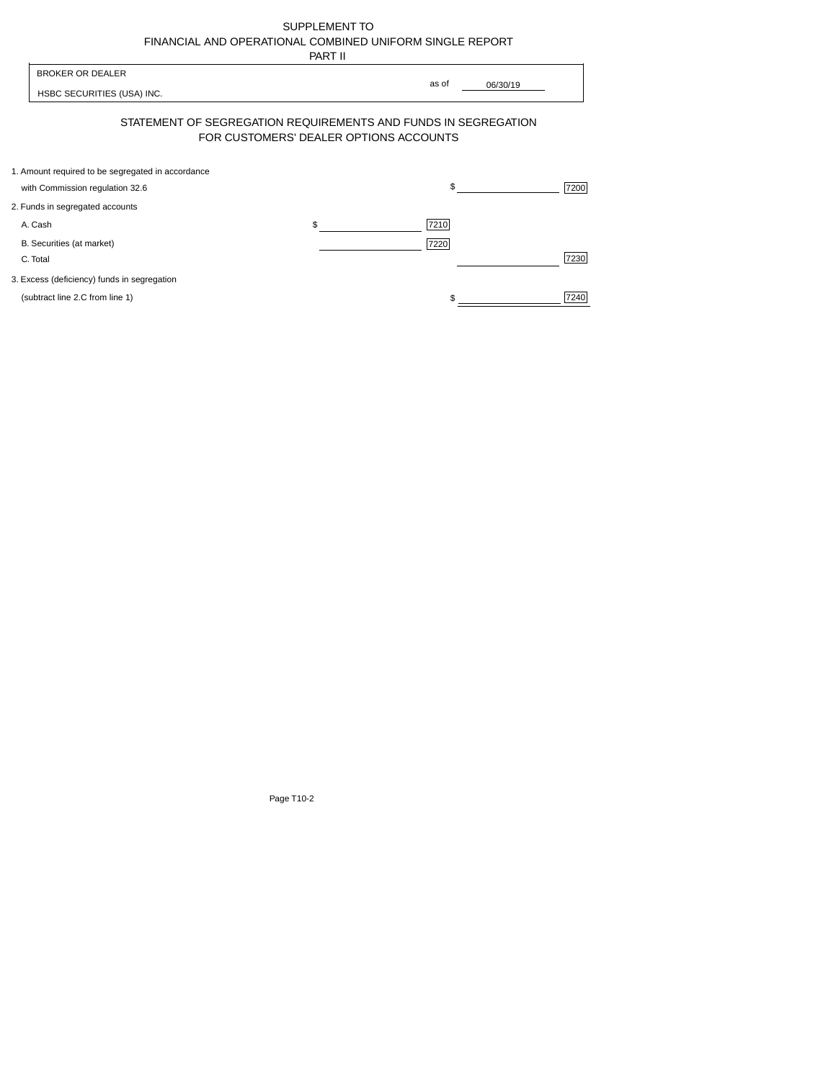| SUPPLEMENT TO                                            |
|----------------------------------------------------------|
| FINANCIAL AND OPERATIONAL COMBINED UNIFORM SINGLE REPORT |
| -----                                                    |

|                                                                                      | PART II                                |                   |      |
|--------------------------------------------------------------------------------------|----------------------------------------|-------------------|------|
| <b>BROKER OR DEALER</b><br>HSBC SECURITIES (USA) INC.                                |                                        | as of<br>06/30/19 |      |
| STATEMENT OF SEGREGATION REQUIREMENTS AND FUNDS IN SEGREGATION                       | FOR CUSTOMERS' DEALER OPTIONS ACCOUNTS |                   |      |
| 1. Amount required to be segregated in accordance<br>with Commission regulation 32.6 |                                        | \$                | 7200 |
| 2. Funds in segregated accounts                                                      |                                        |                   |      |
| A. Cash                                                                              | \$                                     | 7210              |      |
| B. Securities (at market)<br>C. Total                                                |                                        | 7220              | 7230 |
| 3. Excess (deficiency) funds in segregation                                          |                                        |                   |      |
| (subtract line 2.C from line 1)                                                      |                                        |                   | 7240 |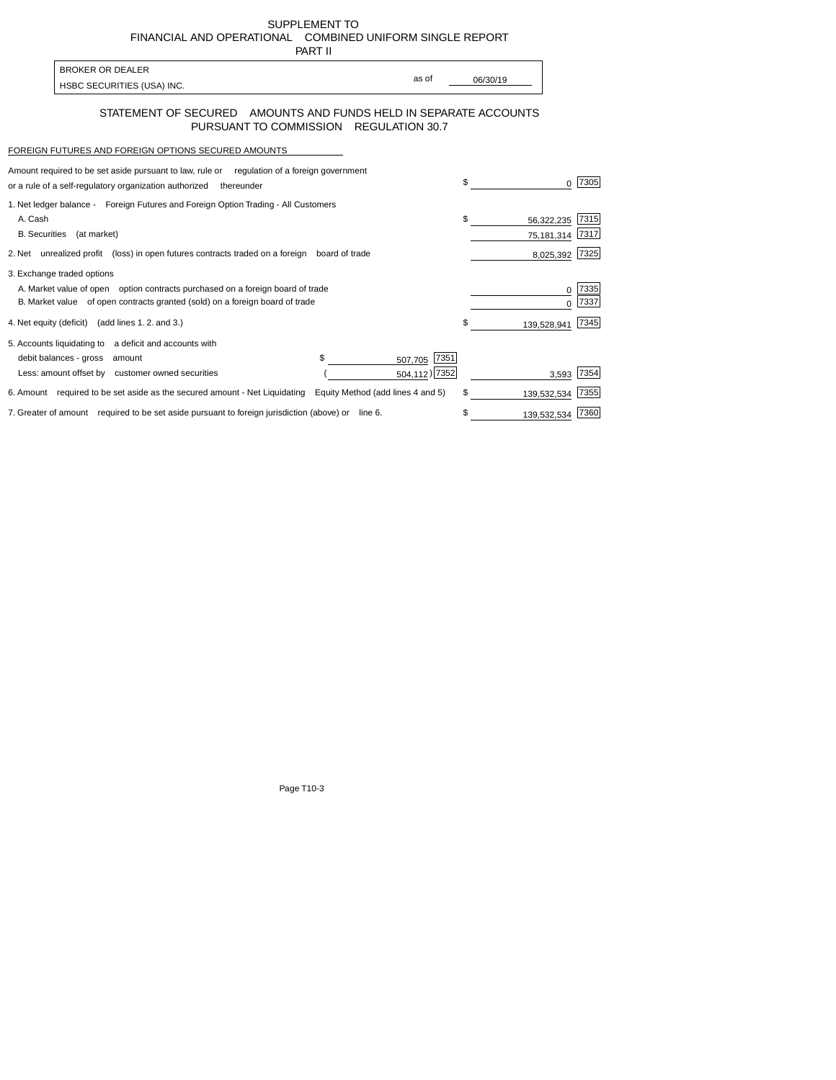SUPPLEMENT TO FINANCIAL AND OPERATIONAL COMBINED UNIFORM SINGLE REPORT PART II

| BROKER OR DEALER           |       |          |
|----------------------------|-------|----------|
|                            | as of | 06/30/19 |
| HSBC SECURITIES (USA) INC. |       |          |

## STATEMENT OF SECURED AMOUNTS AND FUNDS HELD IN SEPARATE ACCOUNTS PURSUANT TO COMMISSION REGULATION 30.7

## FOREIGN FUTURES AND FOREIGN OPTIONS SECURED AMOUNTS

 $\mathsf{r}$ 

| Amount required to be set aside pursuant to law, rule or regulation of a foreign government       |                                   |               |             |      |
|---------------------------------------------------------------------------------------------------|-----------------------------------|---------------|-------------|------|
| or a rule of a self-regulatory organization authorized<br>thereunder                              |                                   | \$            |             | 7305 |
| 1. Net ledger balance - Foreign Futures and Foreign Option Trading - All Customers                |                                   |               |             |      |
| A. Cash                                                                                           |                                   | \$            | 56,322,235  | 7315 |
| <b>B.</b> Securities<br>(at market)                                                               |                                   |               | 75,181,314  | 7317 |
| 2. Net unrealized profit (loss) in open futures contracts traded on a foreign                     | board of trade                    |               | 8,025,392   | 7325 |
| 3. Exchange traded options                                                                        |                                   |               |             |      |
| A. Market value of open option contracts purchased on a foreign board of trade                    |                                   |               |             | 7335 |
| B. Market value of open contracts granted (sold) on a foreign board of trade                      |                                   |               |             | 7337 |
| 4. Net equity (deficit) (add lines 1.2. and 3.)                                                   |                                   | \$            | 139,528,941 | 7345 |
| 5. Accounts liquidating to a deficit and accounts with                                            |                                   |               |             |      |
| debit balances - gross<br>amount                                                                  | \$<br>507,705                     | 7351          |             |      |
| Less: amount offset by customer owned securities                                                  |                                   | 504,112) 7352 | 3,593       | 7354 |
| 6. Amount required to be set aside as the secured amount - Net Liquidating                        | Equity Method (add lines 4 and 5) | \$            | 139,532,534 | 7355 |
| 7. Greater of amount required to be set aside pursuant to foreign jurisdiction (above) or line 6. |                                   |               | 139,532,534 | 7360 |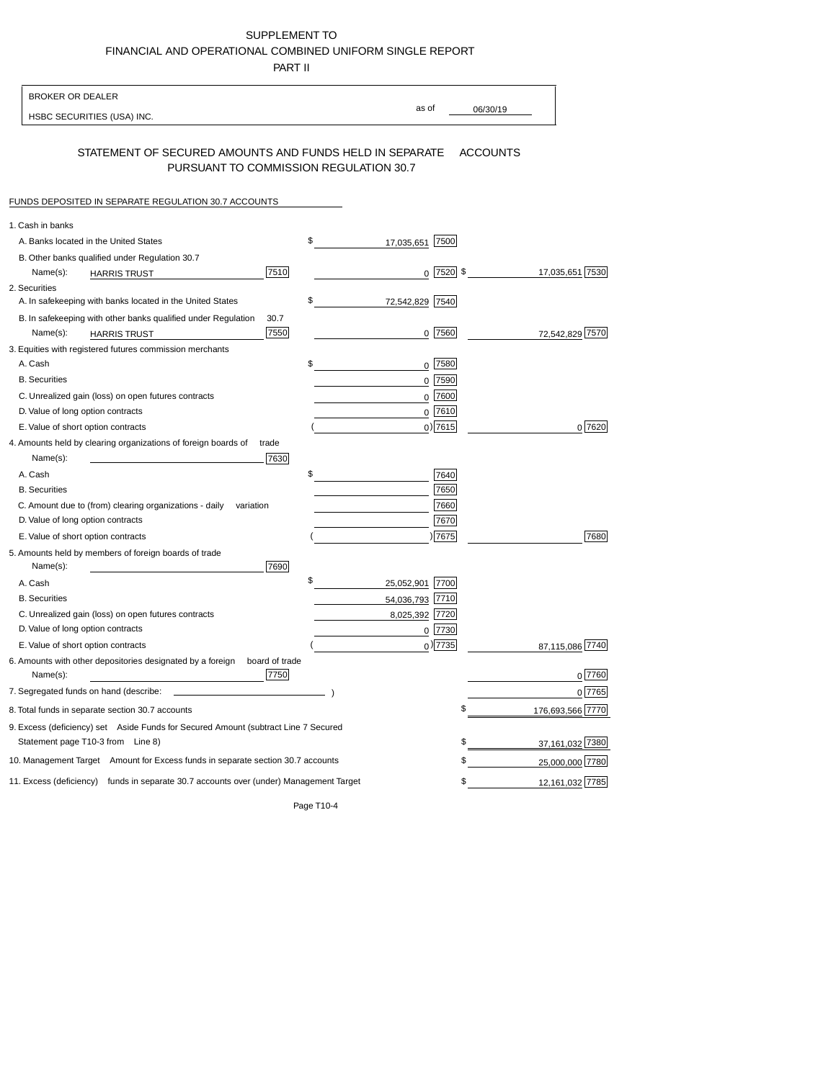SUPPLEMENT TO FINANCIAL AND OPERATIONAL COMBINED UNIFORM SINGLE REPORT

PART II

| <b>BROKER OR DEALER</b>                                                                           |                          |                 |                  |
|---------------------------------------------------------------------------------------------------|--------------------------|-----------------|------------------|
| HSBC SECURITIES (USA) INC.                                                                        | as of                    | 06/30/19        |                  |
| STATEMENT OF SECURED AMOUNTS AND FUNDS HELD IN SEPARATE<br>PURSUANT TO COMMISSION REGULATION 30.7 |                          | <b>ACCOUNTS</b> |                  |
| FUNDS DEPOSITED IN SEPARATE REGULATION 30.7 ACCOUNTS                                              |                          |                 |                  |
| 1. Cash in banks                                                                                  |                          |                 |                  |
| A. Banks located in the United States                                                             | \$<br>17,035,651 7500    |                 |                  |
| B. Other banks qualified under Regulation 30.7                                                    |                          |                 |                  |
| 7510<br>Name(s):<br><b>HARRIS TRUST</b>                                                           | $0$ 7520 \$              |                 | 17,035,651 7530  |
| 2. Securities                                                                                     |                          |                 |                  |
| A. In safekeeping with banks located in the United States                                         | \$<br>7540<br>72,542,829 |                 |                  |
| B. In safekeeping with other banks qualified under Regulation<br>30.7                             |                          |                 |                  |
| 7550<br>Name(s):<br><b>HARRIS TRUST</b>                                                           | 0 7560                   |                 | 72,542,829 7570  |
| 3. Equities with registered futures commission merchants                                          |                          |                 |                  |
| A. Cash                                                                                           | \$<br>0 7580             |                 |                  |
| <b>B.</b> Securities                                                                              | 7590<br>0                |                 |                  |
| C. Unrealized gain (loss) on open futures contracts                                               | 7600<br>0                |                 |                  |
| D. Value of long option contracts                                                                 | $0$ 7610                 |                 |                  |
| E. Value of short option contracts                                                                | $0$ ) 7615               |                 | 0 7620           |
| 4. Amounts held by clearing organizations of foreign boards of<br>trade<br>Name(s):<br>7630       |                          |                 |                  |
| A. Cash                                                                                           | \$<br>7640               |                 |                  |
| <b>B.</b> Securities                                                                              | 7650                     |                 |                  |
| C. Amount due to (from) clearing organizations - daily<br>variation                               | 7660                     |                 |                  |
| D. Value of long option contracts                                                                 | 7670                     |                 |                  |
| E. Value of short option contracts                                                                | ) 7675                   |                 | 7680             |
| 5. Amounts held by members of foreign boards of trade                                             |                          |                 |                  |
| 7690<br>Name(s):                                                                                  |                          |                 |                  |
| A. Cash                                                                                           | \$<br>25,052,901 7700    |                 |                  |
| <b>B.</b> Securities                                                                              | 54,036,793 7710          |                 |                  |
| C. Unrealized gain (loss) on open futures contracts                                               | 8,025,392 7720           |                 |                  |
| D. Value of long option contracts                                                                 | 7730<br>0                |                 |                  |
| E. Value of short option contracts                                                                | $_0$ ) 7735              |                 | 87,115,086 7740  |
| 6. Amounts with other depositories designated by a foreign<br>board of trade<br>7750<br>Name(s):  |                          |                 | 0 7760           |
| 7. Segregated funds on hand (describe:                                                            |                          |                 | 0 7765           |
| 8. Total funds in separate section 30.7 accounts                                                  |                          | \$              | 176,693,566 7770 |
| 9. Excess (deficiency) set Aside Funds for Secured Amount (subtract Line 7 Secured                |                          |                 |                  |
| Statement page T10-3 from Line 8)                                                                 |                          | \$              | 37,161,032 7380  |
| 10. Management Target Amount for Excess funds in separate section 30.7 accounts                   |                          | \$              | 25,000,000 7780  |
| 11. Excess (deficiency) funds in separate 30.7 accounts over (under) Management Target            |                          | \$              | 12,161,032 7785  |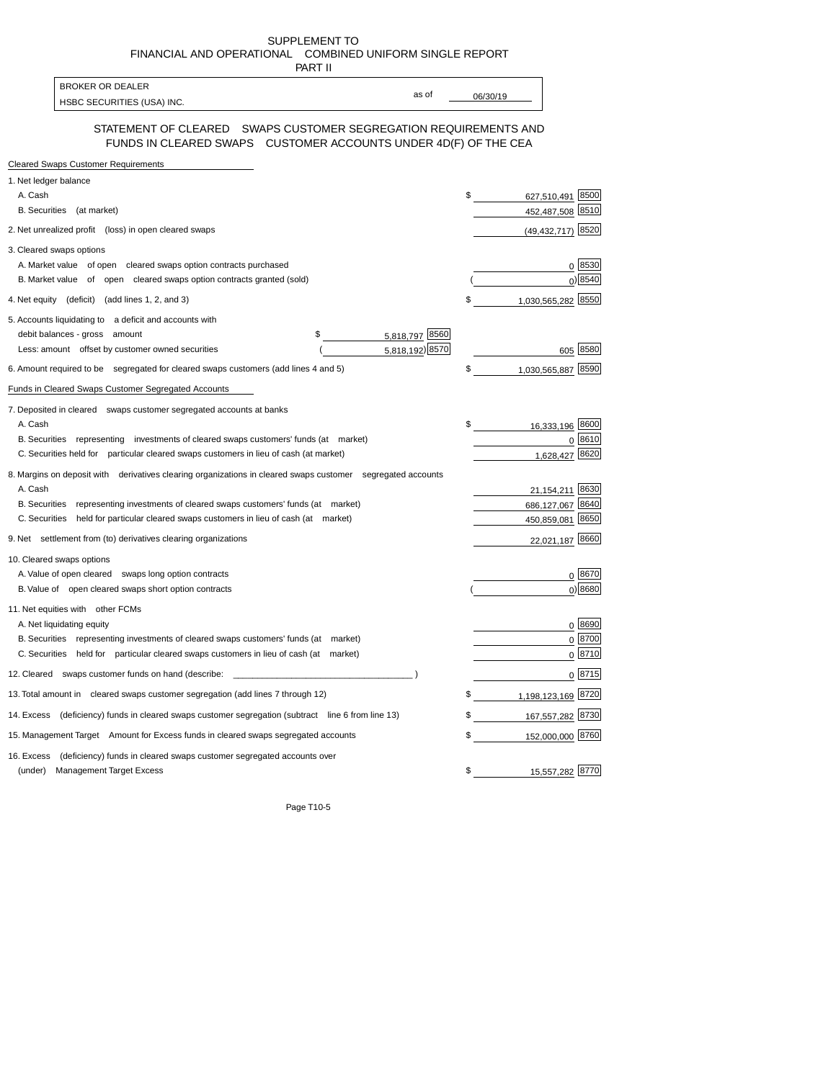SUPPLEMENT TO FINANCIAL AND OPERATIONAL COMBINED UNIFORM SINGLE REPORT

| PART II                                                                                                                              |          |                       |             |
|--------------------------------------------------------------------------------------------------------------------------------------|----------|-----------------------|-------------|
| <b>BROKER OR DEALER</b><br>as of                                                                                                     |          |                       |             |
| HSBC SECURITIES (USA) INC.                                                                                                           | 06/30/19 |                       |             |
| STATEMENT OF CLEARED  SWAPS CUSTOMER SEGREGATION REQUIREMENTS AND<br>FUNDS IN CLEARED SWAPS CUSTOMER ACCOUNTS UNDER 4D(F) OF THE CEA |          |                       |             |
| <b>Cleared Swaps Customer Requirements</b>                                                                                           |          |                       |             |
| 1. Net ledger balance                                                                                                                |          |                       |             |
| A. Cash                                                                                                                              | \$       | 627,510,491 8500      |             |
| B. Securities (at market)                                                                                                            |          | 452,487,508 8510      |             |
| 2. Net unrealized profit (loss) in open cleared swaps                                                                                |          | $(49, 432, 717)$ 8520 |             |
| 3. Cleared swaps options                                                                                                             |          |                       |             |
| A. Market value of open cleared swaps option contracts purchased                                                                     |          |                       | 0 8530      |
| B. Market value of open cleared swaps option contracts granted (sold)                                                                |          |                       | 0 8540      |
| 4. Net equity (deficit) (add lines 1, 2, and 3)                                                                                      | \$       | 1,030,565,282 8550    |             |
| 5. Accounts liquidating to a deficit and accounts with                                                                               |          |                       |             |
| 5,818,797 8560<br>debit balances - gross amount<br>\$                                                                                |          |                       |             |
| 5,818,192) 8570<br>Less: amount offset by customer owned securities                                                                  |          |                       | 605 8580    |
| 6. Amount required to be segregated for cleared swaps customers (add lines 4 and 5)                                                  | \$       | 1,030,565,887 8590    |             |
| Funds in Cleared Swaps Customer Segregated Accounts                                                                                  |          |                       |             |
| 7. Deposited in cleared swaps customer segregated accounts at banks                                                                  |          |                       |             |
| A. Cash                                                                                                                              | \$       | 16,333,196 8600       |             |
| B. Securities representing investments of cleared swaps customers' funds (at market)                                                 |          |                       | $0^{18610}$ |
| C. Securities held for particular cleared swaps customers in lieu of cash (at market)                                                |          | 1,628,427 8620        |             |
| 8. Margins on deposit with derivatives clearing organizations in cleared swaps customer segregated accounts                          |          |                       |             |
| A. Cash                                                                                                                              |          | 21,154,211 8630       |             |
| B. Securities representing investments of cleared swaps customers' funds (at market)                                                 |          | 686,127,067 8640      |             |
| C. Securities held for particular cleared swaps customers in lieu of cash (at market)                                                |          | 450,859,081           | 8650        |
| 9. Net settlement from (to) derivatives clearing organizations                                                                       |          | 22,021,187 8660       |             |
| 10. Cleared swaps options                                                                                                            |          |                       |             |
| A. Value of open cleared swaps long option contracts                                                                                 |          |                       | 0 8670      |
| B. Value of open cleared swaps short option contracts                                                                                |          |                       | $0$ ) 8680  |
| 11. Net equities with other FCMs                                                                                                     |          |                       |             |
| A. Net liquidating equity                                                                                                            |          |                       | 0 8690      |
| B. Securities representing investments of cleared swaps customers' funds (at market)                                                 |          |                       | $0^{8700}$  |
| C. Securities held for particular cleared swaps customers in lieu of cash (at market)                                                |          |                       | 0 8710      |
| 12. Cleared swaps customer funds on hand (describe:                                                                                  |          |                       | 0 8715      |
| 13. Total amount in cleared swaps customer segregation (add lines 7 through 12)                                                      | \$       | 1,198,123,169 8720    |             |
| 14. Excess (deficiency) funds in cleared swaps customer segregation (subtract line 6 from line 13)                                   | \$       | 167,557,282 8730      |             |
| 15. Management Target Amount for Excess funds in cleared swaps segregated accounts                                                   | \$       | 152,000,000 8760      |             |
| (deficiency) funds in cleared swaps customer segregated accounts over<br>16. Excess                                                  |          |                       |             |
| <b>Management Target Excess</b><br>(under)                                                                                           | \$       | 15,557,282 8770       |             |